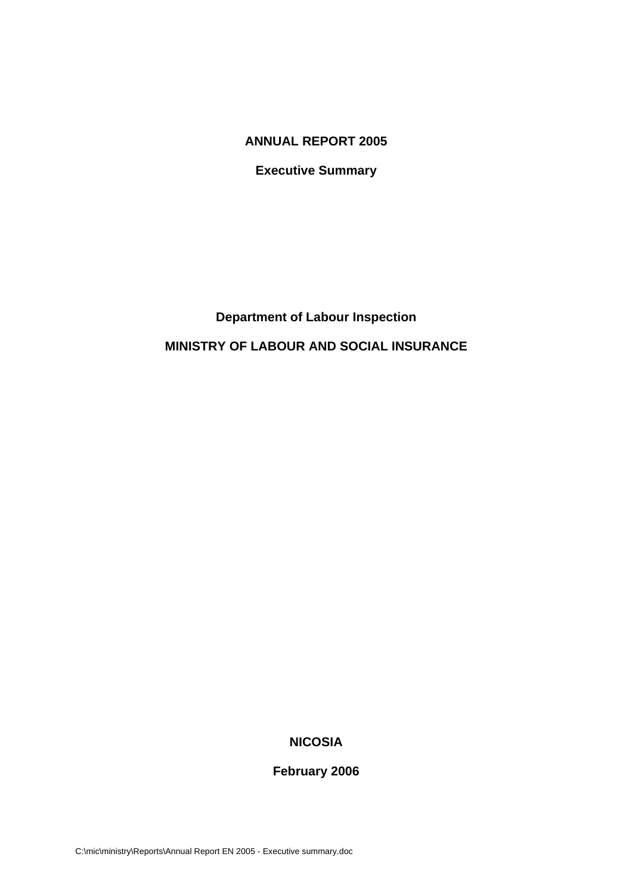### **ANNUAL REPORT 2005**

**Executive Summary** 

# **Department of Labour Inspection**

## **MINISTRY OF LABOUR AND SOCIAL INSURANCE**

# **NICOSIA**

## **February 2006**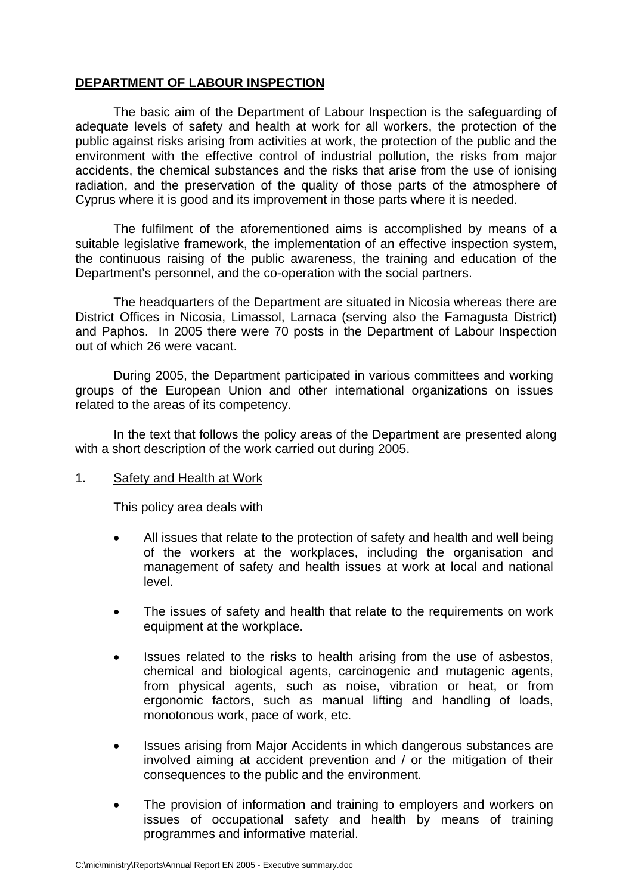## **DEPARTMENT OF LABOUR INSPECTION**

The basic aim of the Department of Labour Inspection is the safeguarding of adequate levels of safety and health at work for all workers, the protection of the public against risks arising from activities at work, the protection of the public and the environment with the effective control of industrial pollution, the risks from major accidents, the chemical substances and the risks that arise from the use of ionising radiation, and the preservation of the quality of those parts of the atmosphere of Cyprus where it is good and its improvement in those parts where it is needed.

The fulfilment of the aforementioned aims is accomplished by means of a suitable legislative framework, the implementation of an effective inspection system, the continuous raising of the public awareness, the training and education of the Department's personnel, and the co-operation with the social partners.

The headquarters of the Department are situated in Nicosia whereas there are District Offices in Nicosia, Limassol, Larnaca (serving also the Famagusta District) and Paphos. In 2005 there were 70 posts in the Department of Labour Inspection out of which 26 were vacant.

During 2005, the Department participated in various committees and working groups of the European Union and other international organizations on issues related to the areas of its competency.

In the text that follows the policy areas of the Department are presented along with a short description of the work carried out during 2005.

### 1. Safety and Health at Work

This policy area deals with

- All issues that relate to the protection of safety and health and well being of the workers at the workplaces, including the organisation and management of safety and health issues at work at local and national level.
- The issues of safety and health that relate to the requirements on work equipment at the workplace.
- Issues related to the risks to health arising from the use of asbestos, chemical and biological agents, carcinogenic and mutagenic agents, from physical agents, such as noise, vibration or heat, or from ergonomic factors, such as manual lifting and handling of loads, monotonous work, pace of work, etc.
- Issues arising from Major Accidents in which dangerous substances are involved aiming at accident prevention and / or the mitigation of their consequences to the public and the environment.
- The provision of information and training to employers and workers on issues of occupational safety and health by means of training programmes and informative material.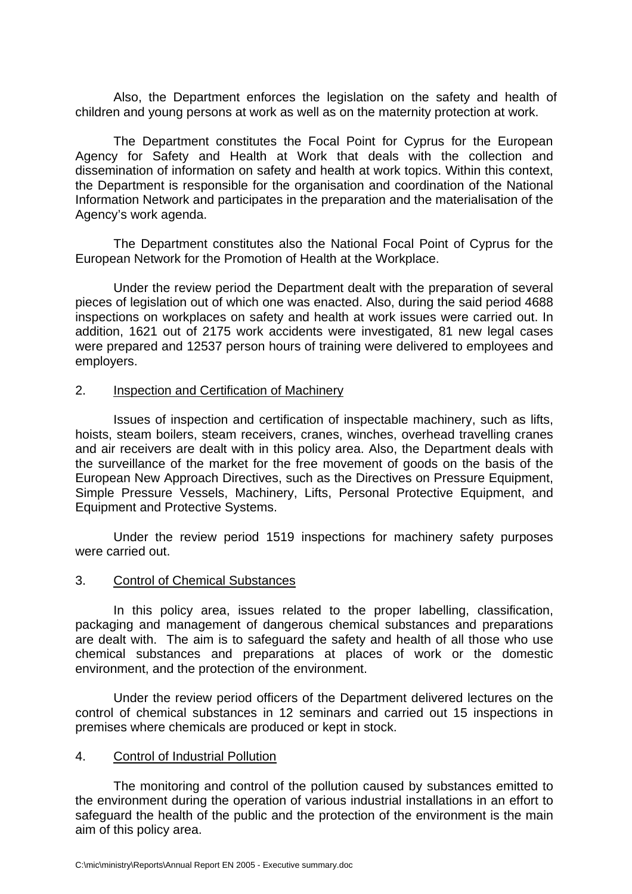Also, the Department enforces the legislation on the safety and health of children and young persons at work as well as on the maternity protection at work.

The Department constitutes the Focal Point for Cyprus for the European Agency for Safety and Health at Work that deals with the collection and dissemination of information on safety and health at work topics. Within this context, the Department is responsible for the organisation and coordination of the National Information Network and participates in the preparation and the materialisation of the Agency's work agenda.

The Department constitutes also the National Focal Point of Cyprus for the European Network for the Promotion of Health at the Workplace.

Under the review period the Department dealt with the preparation of several pieces of legislation out of which one was enacted. Also, during the said period 4688 inspections on workplaces on safety and health at work issues were carried out. In addition, 1621 out of 2175 work accidents were investigated, 81 new legal cases were prepared and 12537 person hours of training were delivered to employees and employers.

### 2. Inspection and Certification of Machinery

Issues of inspection and certification of inspectable machinery, such as lifts, hoists, steam boilers, steam receivers, cranes, winches, overhead travelling cranes and air receivers are dealt with in this policy area. Also, the Department deals with the surveillance of the market for the free movement of goods on the basis of the European New Approach Directives, such as the Directives on Pressure Equipment, Simple Pressure Vessels, Machinery, Lifts, Personal Protective Equipment, and Equipment and Protective Systems.

Under the review period 1519 inspections for machinery safety purposes were carried out.

### 3. Control of Chemical Substances

In this policy area, issues related to the proper labelling, classification, packaging and management of dangerous chemical substances and preparations are dealt with. The aim is to safeguard the safety and health of all those who use chemical substances and preparations at places of work or the domestic environment, and the protection of the environment.

Under the review period officers of the Department delivered lectures on the control of chemical substances in 12 seminars and carried out 15 inspections in premises where chemicals are produced or kept in stock.

### 4. Control of Industrial Pollution

The monitoring and control of the pollution caused by substances emitted to the environment during the operation of various industrial installations in an effort to safeguard the health of the public and the protection of the environment is the main aim of this policy area.